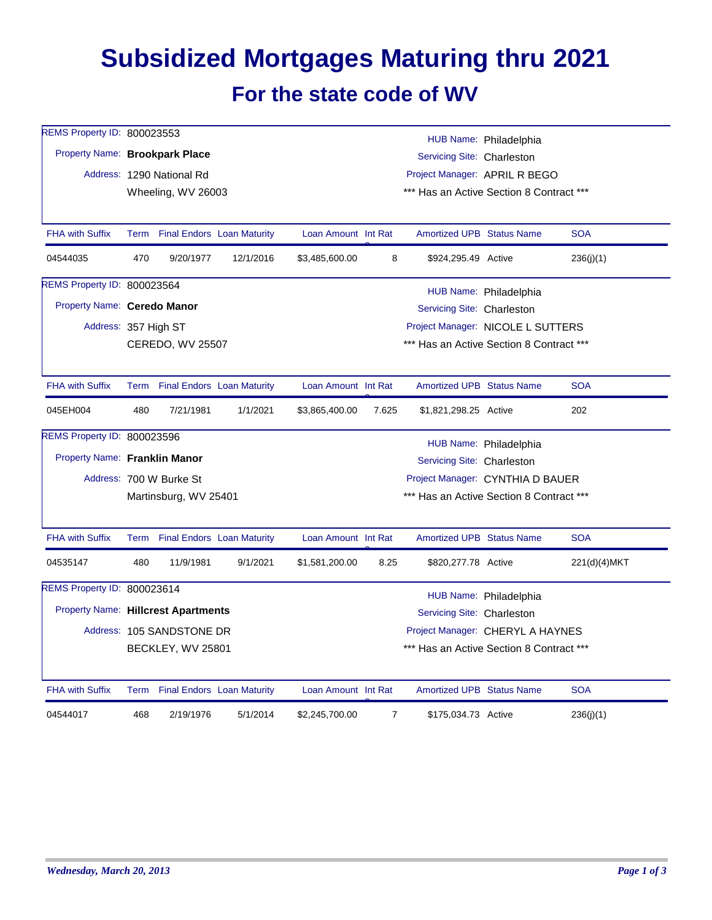## **Subsidized Mortgages Maturing thru 2021 For the state code of WV**

| <b>REMS Property ID: 800023553</b> | HUB Name: Philadelphia |                                            |           |                                                      |                                          |                                          |                                   |              |  |  |
|------------------------------------|------------------------|--------------------------------------------|-----------|------------------------------------------------------|------------------------------------------|------------------------------------------|-----------------------------------|--------------|--|--|
| Property Name: Brookpark Place     |                        |                                            |           | Servicing Site: Charleston                           |                                          |                                          |                                   |              |  |  |
|                                    |                        | Address: 1290 National Rd                  |           | Project Manager: APRIL R BEGO                        |                                          |                                          |                                   |              |  |  |
|                                    |                        | Wheeling, WV 26003                         |           |                                                      | *** Has an Active Section 8 Contract *** |                                          |                                   |              |  |  |
|                                    |                        |                                            |           |                                                      |                                          |                                          |                                   |              |  |  |
| <b>FHA with Suffix</b>             |                        | Term Final Endors Loan Maturity            |           | Loan Amount Int Rat                                  |                                          | <b>Amortized UPB Status Name</b>         |                                   | <b>SOA</b>   |  |  |
| 04544035                           | 470                    | 9/20/1977                                  | 12/1/2016 | \$3,485,600.00                                       | 8                                        | \$924,295.49 Active                      |                                   | 236(j)(1)    |  |  |
| REMS Property ID: 800023564        | HUB Name: Philadelphia |                                            |           |                                                      |                                          |                                          |                                   |              |  |  |
| Property Name: Ceredo Manor        |                        |                                            |           |                                                      |                                          | Servicing Site: Charleston               |                                   |              |  |  |
| Address: 357 High ST               |                        |                                            |           |                                                      |                                          |                                          | Project Manager: NICOLE L SUTTERS |              |  |  |
|                                    |                        | CEREDO, WV 25507                           |           |                                                      |                                          | *** Has an Active Section 8 Contract *** |                                   |              |  |  |
|                                    |                        |                                            |           |                                                      |                                          |                                          |                                   |              |  |  |
| <b>FHA with Suffix</b>             | Term                   | <b>Final Endors</b> Loan Maturity          |           | Loan Amount Int Rat                                  |                                          | <b>Amortized UPB Status Name</b>         |                                   | <b>SOA</b>   |  |  |
| 045EH004                           | 480                    | 7/21/1981                                  | 1/1/2021  | \$3,865,400.00                                       | 7.625                                    | \$1,821,298.25 Active                    |                                   | 202          |  |  |
| REMS Property ID: 800023596        |                        |                                            |           |                                                      |                                          | HUB Name: Philadelphia                   |                                   |              |  |  |
| Property Name: Franklin Manor      |                        |                                            |           | Servicing Site: Charleston                           |                                          |                                          |                                   |              |  |  |
|                                    |                        | Address: 700 W Burke St                    |           | Project Manager: CYNTHIA D BAUER                     |                                          |                                          |                                   |              |  |  |
|                                    |                        | Martinsburg, WV 25401                      |           | *** Has an Active Section 8 Contract ***             |                                          |                                          |                                   |              |  |  |
|                                    |                        |                                            |           |                                                      |                                          |                                          |                                   |              |  |  |
| <b>FHA with Suffix</b>             |                        | Term Final Endors Loan Maturity            |           | Loan Amount Int Rat                                  |                                          | <b>Amortized UPB Status Name</b>         |                                   | <b>SOA</b>   |  |  |
| 04535147                           | 480                    | 11/9/1981                                  | 9/1/2021  | \$1,581,200.00                                       | 8.25                                     | \$820,277.78 Active                      |                                   | 221(d)(4)MKT |  |  |
| REMS Property ID: 800023614        |                        |                                            |           |                                                      |                                          |                                          |                                   |              |  |  |
|                                    |                        | <b>Property Name: Hillcrest Apartments</b> |           | HUB Name: Philadelphia<br>Servicing Site: Charleston |                                          |                                          |                                   |              |  |  |
|                                    |                        | Address: 105 SANDSTONE DR                  |           |                                                      | Project Manager: CHERYL A HAYNES         |                                          |                                   |              |  |  |
|                                    |                        | BECKLEY, WV 25801                          |           |                                                      | *** Has an Active Section 8 Contract *** |                                          |                                   |              |  |  |
|                                    |                        |                                            |           |                                                      |                                          |                                          |                                   |              |  |  |
| <b>FHA with Suffix</b>             |                        | Term Final Endors Loan Maturity            |           | Loan Amount Int Rat                                  |                                          | <b>Amortized UPB Status Name</b>         |                                   | <b>SOA</b>   |  |  |
| 04544017                           | 468                    | 2/19/1976                                  | 5/1/2014  | \$2,245,700.00                                       | $\overline{7}$                           | \$175,034.73 Active                      |                                   | 236(j)(1)    |  |  |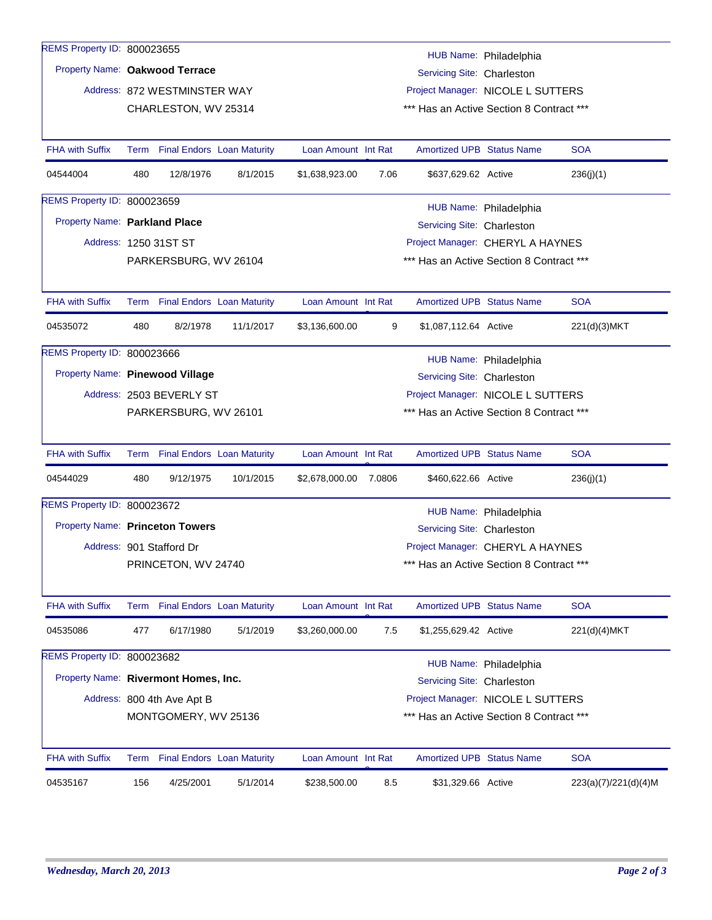| REMS Property ID: 800023655        |                                                                                              |                                                                 |                                   |                                   |        |                                          | HUB Name: Philadelphia                   |                      |  |
|------------------------------------|----------------------------------------------------------------------------------------------|-----------------------------------------------------------------|-----------------------------------|-----------------------------------|--------|------------------------------------------|------------------------------------------|----------------------|--|
|                                    | Property Name: Oakwood Terrace<br>Servicing Site: Charleston                                 |                                                                 |                                   |                                   |        |                                          |                                          |                      |  |
|                                    |                                                                                              | Address: 872 WESTMINSTER WAY                                    |                                   | Project Manager: NICOLE L SUTTERS |        |                                          |                                          |                      |  |
|                                    | *** Has an Active Section 8 Contract ***<br>CHARLESTON, WV 25314                             |                                                                 |                                   |                                   |        |                                          |                                          |                      |  |
|                                    |                                                                                              |                                                                 |                                   |                                   |        |                                          |                                          |                      |  |
| <b>FHA with Suffix</b>             |                                                                                              | Term Final Endors Loan Maturity                                 |                                   | Loan Amount Int Rat               |        | <b>Amortized UPB Status Name</b>         |                                          | <b>SOA</b>           |  |
| 04544004                           | 480                                                                                          | 12/8/1976                                                       | 8/1/2015                          | \$1,638,923.00                    | 7.06   | \$637,629.62 Active                      |                                          | 236(j)(1)            |  |
| <b>REMS Property ID: 800023659</b> |                                                                                              |                                                                 |                                   |                                   |        |                                          | HUB Name: Philadelphia                   |                      |  |
| Property Name: Parkland Place      |                                                                                              |                                                                 |                                   |                                   |        | Servicing Site: Charleston               |                                          |                      |  |
|                                    |                                                                                              | Address: 1250 31ST ST                                           |                                   |                                   |        | Project Manager: CHERYL A HAYNES         |                                          |                      |  |
|                                    |                                                                                              | PARKERSBURG, WV 26104                                           |                                   |                                   |        |                                          | *** Has an Active Section 8 Contract *** |                      |  |
|                                    |                                                                                              |                                                                 |                                   |                                   |        |                                          |                                          |                      |  |
| <b>FHA with Suffix</b>             |                                                                                              | Term Final Endors Loan Maturity                                 |                                   | Loan Amount Int Rat               |        | <b>Amortized UPB Status Name</b>         |                                          | <b>SOA</b>           |  |
| 04535072                           | 480                                                                                          | 8/2/1978                                                        | 11/1/2017                         | \$3,136,600.00                    | 9      | \$1,087,112.64 Active                    |                                          | 221(d)(3)MKT         |  |
| REMS Property ID: 800023666        |                                                                                              |                                                                 |                                   |                                   |        |                                          | HUB Name: Philadelphia                   |                      |  |
| Property Name: Pinewood Village    |                                                                                              |                                                                 |                                   |                                   |        | Servicing Site: Charleston               |                                          |                      |  |
|                                    |                                                                                              | Address: 2503 BEVERLY ST                                        |                                   |                                   |        | Project Manager: NICOLE L SUTTERS        |                                          |                      |  |
|                                    |                                                                                              | PARKERSBURG, WV 26101                                           |                                   |                                   |        | *** Has an Active Section 8 Contract *** |                                          |                      |  |
|                                    |                                                                                              |                                                                 |                                   |                                   |        |                                          |                                          |                      |  |
| <b>FHA with Suffix</b>             |                                                                                              | Term Final Endors Loan Maturity                                 |                                   | Loan Amount Int Rat               |        | <b>Amortized UPB Status Name</b>         |                                          | <b>SOA</b>           |  |
| 04544029                           | 480                                                                                          | 9/12/1975                                                       | 10/1/2015                         | \$2,678,000.00                    | 7.0806 | \$460,622.66 Active                      |                                          | 236(j)(1)            |  |
| REMS Property ID: 800023672        |                                                                                              |                                                                 |                                   |                                   |        |                                          | HUB Name: Philadelphia                   |                      |  |
|                                    | <b>Property Name: Princeton Towers</b>                                                       |                                                                 |                                   |                                   |        | Servicing Site: Charleston               |                                          |                      |  |
|                                    | Address: 901 Stafford Dr                                                                     |                                                                 |                                   |                                   |        | Project Manager: CHERYL A HAYNES         |                                          |                      |  |
|                                    | PRINCETON, WV 24740                                                                          |                                                                 |                                   |                                   |        | *** Has an Active Section 8 Contract *** |                                          |                      |  |
|                                    |                                                                                              |                                                                 |                                   |                                   |        |                                          |                                          |                      |  |
| <b>FHA with Suffix</b>             | Term                                                                                         |                                                                 | <b>Final Endors Loan Maturity</b> | Loan Amount Int Rat               |        | Amortized UPB Status Name                |                                          | <b>SOA</b>           |  |
| 04535086                           | 477                                                                                          | 6/17/1980                                                       | 5/1/2019                          | \$3,260,000.00                    | 7.5    | \$1,255,629.42 Active                    |                                          | 221(d)(4)MKT         |  |
| REMS Property ID: 800023682        |                                                                                              |                                                                 |                                   |                                   |        |                                          |                                          |                      |  |
|                                    | HUB Name: Philadelphia<br>Property Name: Rivermont Homes, Inc.<br>Servicing Site: Charleston |                                                                 |                                   |                                   |        |                                          |                                          |                      |  |
|                                    |                                                                                              | Project Manager: NICOLE L SUTTERS<br>Address: 800 4th Ave Apt B |                                   |                                   |        |                                          |                                          |                      |  |
|                                    |                                                                                              | MONTGOMERY, WV 25136                                            |                                   |                                   |        | *** Has an Active Section 8 Contract *** |                                          |                      |  |
|                                    |                                                                                              |                                                                 |                                   |                                   |        |                                          |                                          |                      |  |
| <b>FHA with Suffix</b>             |                                                                                              | Term Final Endors Loan Maturity                                 |                                   | Loan Amount Int Rat               |        | Amortized UPB Status Name                |                                          | <b>SOA</b>           |  |
| 04535167                           | 156                                                                                          | 4/25/2001                                                       | 5/1/2014                          | \$238,500.00                      | 8.5    | \$31,329.66 Active                       |                                          | 223(a)(7)/221(d)(4)M |  |